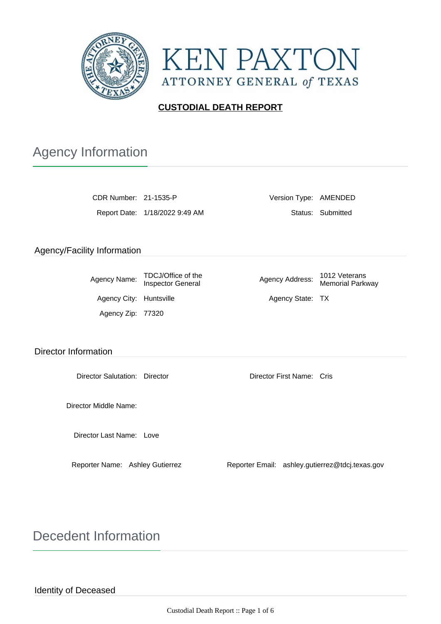



### **CUSTODIAL DEATH REPORT**

# Agency Information

| CDR Number: 21-1535-P |                               |  |
|-----------------------|-------------------------------|--|
|                       | Report Date: 1/18/2022 9:49 A |  |

Version Type: AMENDED Report Date: 1/2022 9:49 AM Status: Submitted

### Agency/Facility Information

| Agency Name:            | TDCJ/Office of the<br><b>Inspector General</b> | Agency Address:  | 1012 Veterans<br><b>Memorial Parkway</b> |
|-------------------------|------------------------------------------------|------------------|------------------------------------------|
| Agency City: Huntsville |                                                | Agency State: TX |                                          |
| Agency Zip: 77320       |                                                |                  |                                          |

#### Director Information

Director Salutation: Director Director First Name: Cris

Director Middle Name:

Director Last Name: Love

Reporter Name: Ashley Gutierrez Reporter Email: ashley.gutierrez@tdcj.texas.gov

Decedent Information

Identity of Deceased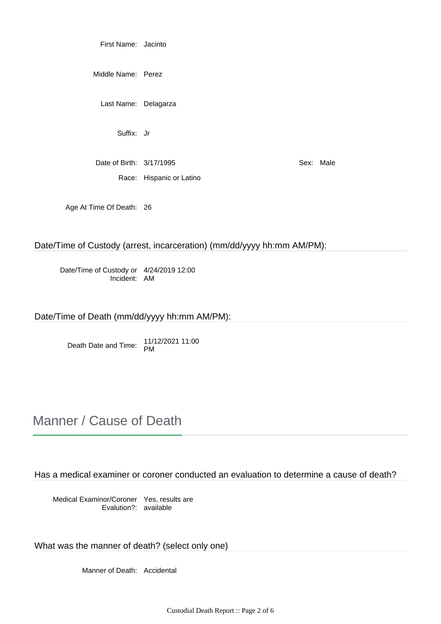First Name: Jacinto

Middle Name: Perez

Last Name: Delagarza

Suffix: Jr

Date of Birth: 3/17/1995 Sex: Male Race: Hispanic or Latino

Age At Time Of Death: 26

Date/Time of Custody (arrest, incarceration) (mm/dd/yyyy hh:mm AM/PM):

Date/Time of Custody or 4/24/2019 12:00 Incident: AM

Date/Time of Death (mm/dd/yyyy hh:mm AM/PM):

Death Date and Time: 11/12/2021 11:00 PM

## Manner / Cause of Death

Has a medical examiner or coroner conducted an evaluation to determine a cause of death?

Medical Examinor/Coroner Yes, results are Evalution?: available

What was the manner of death? (select only one)

Manner of Death: Accidental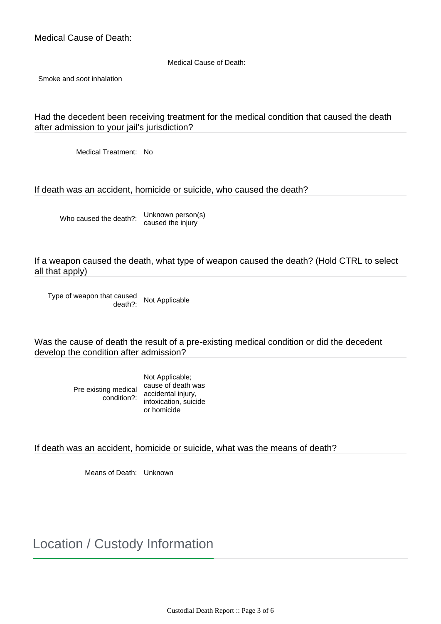Medical Cause of Death:

Smoke and soot inhalation

Had the decedent been receiving treatment for the medical condition that caused the death after admission to your jail's jurisdiction?

Medical Treatment: No

If death was an accident, homicide or suicide, who caused the death?

Who caused the death?: Unknown person(s) caused the injury

If a weapon caused the death, what type of weapon caused the death? (Hold CTRL to select all that apply)

Type of weapon that caused<br>
death?: Not Applicable

Was the cause of death the result of a pre-existing medical condition or did the decedent develop the condition after admission?

> Pre existing medical condition?: accidental injury, Not Applicable; cause of death was intoxication, suicide or homicide

If death was an accident, homicide or suicide, what was the means of death?

Means of Death: Unknown

Location / Custody Information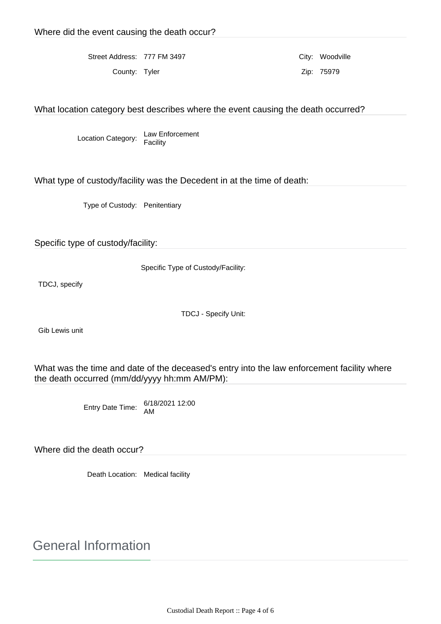Street Address: 777 FM 3497 City: Woodville County: Tyler **Zip: 75979** 

What location category best describes where the event causing the death occurred?

Location Category: Law Enforcement Facility

What type of custody/facility was the Decedent in at the time of death:

Type of Custody: Penitentiary

Specific type of custody/facility:

Specific Type of Custody/Facility:

TDCJ, specify

TDCJ - Specify Unit:

Gib Lewis unit

What was the time and date of the deceased's entry into the law enforcement facility where the death occurred (mm/dd/yyyy hh:mm AM/PM):

Entry Date Time: 6/18/2021 12:00 AM

Where did the death occur?

Death Location: Medical facility

General Information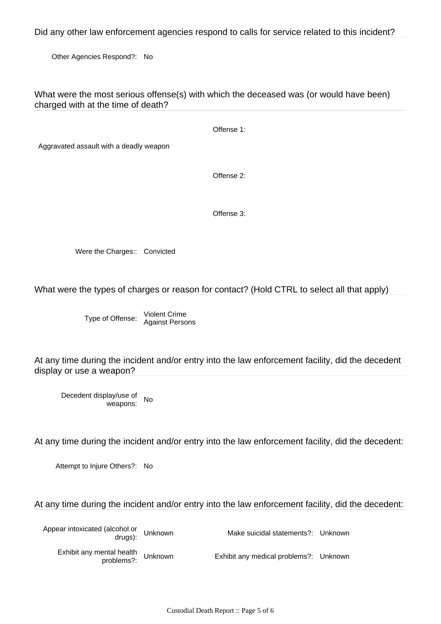Did any other law enforcement agencies respond to calls for service related to this incident?

Other Agencies Respond?: No

What were the most serious offense(s) with which the deceased was (or would have been) charged with at the time of death?

Offense 1:

Aggravated assault with a deadly weapon

Offense 2:

Offense 3:

Were the Charges:: Convicted

#### What were the types of charges or reason for contact? (Hold CTRL to select all that apply)

Type of Offense: Violent Crime Against Persons

At any time during the incident and/or entry into the law enforcement facility, did the decedent display or use a weapon?

Decedent display/use of weapons: No

At any time during the incident and/or entry into the law enforcement facility, did the decedent:

Attempt to Injure Others?: No

### At any time during the incident and/or entry into the law enforcement facility, did the decedent:

| Appear intoxicated (alcohol or Unknown<br>drugs): | Make suicidal statements?: Unknown     |  |
|---------------------------------------------------|----------------------------------------|--|
| Exhibit any mental health<br>croblems?:           | Exhibit any medical problems?: Unknown |  |